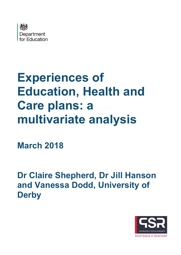

# **Experiences of Education, Health and Care plans: a multivariate analysis**

**March 2018**

**Dr Claire Shepherd, Dr Jill Hanson and Vanessa Dodd, University of Derby**

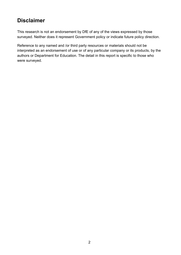## **Disclaimer**

This research is not an endorsement by DfE of any of the views expressed by those surveyed. Neither does it represent Government policy or indicate future policy direction.

Reference to any named and /or third party resources or materials should not be interpreted as an endorsement of use or of any particular company or its products, by the authors or Department for Education. The detail in this report is specific to those who were surveyed.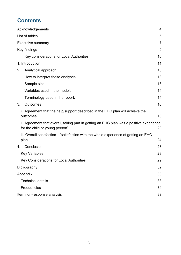# **Contents**

|    | Acknowledgements                                                                                                           | $\overline{4}$ |
|----|----------------------------------------------------------------------------------------------------------------------------|----------------|
|    | List of tables                                                                                                             | 5              |
|    | <b>Executive summary</b>                                                                                                   | 7              |
|    | Key findings                                                                                                               | 9              |
|    | Key considerations for Local Authorities                                                                                   | 10             |
|    | 1. Introduction                                                                                                            | 11             |
| 2. | Analytical approach                                                                                                        | 13             |
|    | How to interpret these analyses                                                                                            | 13             |
|    | Sample size                                                                                                                | 13             |
|    | Variables used in the models                                                                                               | 14             |
|    | Terminology used in the report.                                                                                            | 14             |
| 3. | <b>Outcomes</b>                                                                                                            | 16             |
|    | i. 'Agreement that the help/support described in the EHC plan will achieve the<br>outcomes'                                | 16             |
|    | ii. Agreement that overall, taking part in getting an EHC plan was a positive experience<br>for the child or young person' | 20             |
|    | iii. Overall satisfaction – 'satisfaction with the whole experience of getting an EHC                                      |                |
|    | plan'                                                                                                                      | 24             |
| 4. | Conclusion                                                                                                                 | 28             |
|    | <b>Key Variables</b>                                                                                                       | 28             |
|    | Key Considerations for Local Authorities                                                                                   | 29             |
|    | Bibliography                                                                                                               | 32             |
|    | Appendix                                                                                                                   | 33             |
|    | <b>Technical details</b>                                                                                                   | 33             |
|    | Frequencies                                                                                                                | 34             |
|    | Item non-response analysis                                                                                                 | 39             |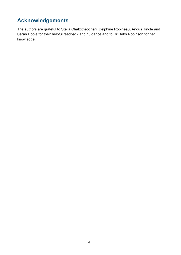# <span id="page-3-0"></span>**Acknowledgements**

The authors are grateful to Stella Chatzitheochari, Delphine Robineau, Angus Tindle and Sarah Dobie for their helpful feedback and guidance and to Dr Debs Robinson for her knowledge.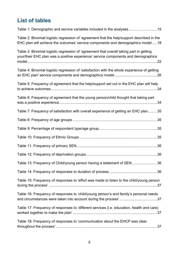# <span id="page-4-0"></span>**List of tables**

| Table 1: Demographic and service variables included in the analyses15                                                                                                         |  |
|-------------------------------------------------------------------------------------------------------------------------------------------------------------------------------|--|
| Table 2: Binomial logistic regression of 'agreement that the help/support described in the<br>EHC plan will achieve the outcomes' service components and demographics model18 |  |
| Table 3: Binomial logistic regression of 'agreement that overall taking part in getting<br>your/their EHC plan was a positive experience' service components and demographics |  |
| Table 4: Binomial logistic regression of 'satisfaction with the whole experience of getting                                                                                   |  |
| Table 5: Frequency of agreement that the help/support set out in the EHC plan will help                                                                                       |  |
| Table 6: Frequency of agreement that the young person/child thought that taking part                                                                                          |  |
| Table 7: Frequency of satisfaction with overall experience of getting an EHC plan35                                                                                           |  |
|                                                                                                                                                                               |  |
|                                                                                                                                                                               |  |
|                                                                                                                                                                               |  |
|                                                                                                                                                                               |  |
|                                                                                                                                                                               |  |
| Table 13: Frequency of Child/young person having a statement of SEN36                                                                                                         |  |
|                                                                                                                                                                               |  |
| Table 15: Frequency of responses to 'effort was made to listen to the child/young person                                                                                      |  |
| Table 16: Frequency of responses to 'child/young person's and family's personal needs                                                                                         |  |
| Table 17: Frequency of responses to 'different services (i.e. education, health and care)                                                                                     |  |
| Table 18: Frequency of responses to 'communication about the EHCP was clear                                                                                                   |  |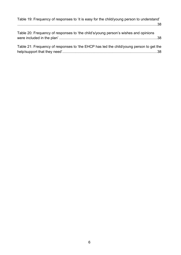| Table 19: Frequency of responses to 'it is easy for the child/young person to understand' |  |
|-------------------------------------------------------------------------------------------|--|
|                                                                                           |  |
| Table 20: Frequency of responses to 'the child's/young person's wishes and opinions       |  |
| Table 21: Frequency of responses to 'the EHCP has led the child/young person to get the   |  |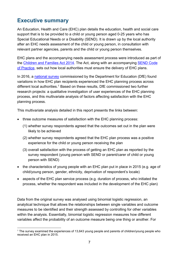### <span id="page-6-0"></span>**Executive summary**

An Education, Health and Care (EHC) plan details the education, health and social care support that is to be provided to a child or young person aged 0-25 years who has Special Educational Needs or a Disability (SEND). It is drawn up by the local authority after an EHC needs assessment of the child or young person, in consultation with relevant partner agencies, parents and the child or young person themselves.

EHC plans and the accompanying needs assessment process were introduced as part of the [Children and Families Act 2014.](http://www.legislation.gov.uk/ukpga/2014/6/contents/enacted) The Act, along with an accompanying [SEND Code](https://www.gov.uk/government/publications/send-code-of-practice-0-to-25)  [of Practice,](https://www.gov.uk/government/publications/send-code-of-practice-0-to-25) sets out how local authorities must ensure the delivery of EHC plans.

In 2016, a [national survey](https://www.gov.uk/government/uploads/system/uploads/attachment_data/file/604384/Education__health_and_care_plans_parents_and_young_people_survey.pdf) commissioned by the Department for Education (DfE) found variations in how EHC plan recipients experienced the EHC planning process across different local authorities.<sup>[1](#page-6-1)</sup> Based on these results, DfE commissioned two further research projects: a qualitative investigation of user experiences of the EHC planning process, and this multivariate analysis of factors affecting satisfaction with the EHC planning process.

This multivariate analysis detailed in this report presents the links between:

- three outcome measures of satisfaction with the EHC planning process:
	- (1) whether survey respondents agreed that the outcomes set out in the plan were likely to be achieved
	- (2) whether survey respondents agreed that the EHC plan process was a positive experience for the child or young person receiving the plan
	- (3) overall satisfaction with the process of getting an EHC plan as reported by the survey respondent (young person with SEND or parent/carer of child or young person with SEND)
- the characteristics of young people with an EHC plan put in place in 2015 (e.g. age of child/young person, gender, ethnicity, deprivation of respondent's locale)
- aspects of the EHC plan service process (e.g. duration of process, who initiated the process, whether the respondent was included in the development of the EHC plan)

Data from the original survey was analysed using binomial logistic regression, an analytical technique that allows the relationships between single variables and outcome measures to be identified and their strength assessed by controlling for other variables within the analysis. Essentially, binomial logistic regression measures how different variables affect the probability of an outcome measure being one thing or another. For

<span id="page-6-1"></span> <sup>1</sup> The survey examined the experiences of 13,643 young people and parents of children/young people who received an EHC plan in 2015.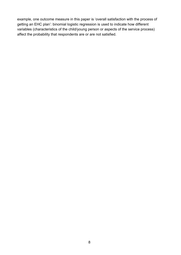example, one outcome measure in this paper is 'overall satisfaction with the process of getting an EHC plan': binomial logistic regression is used to indicate how different variables (characteristics of the child/young person or aspects of the service process) affect the probability that respondents are or are not satisfied.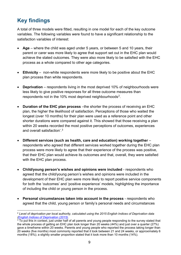# <span id="page-8-0"></span>**Key findings**

A total of three models were fitted, resulting in one model for each of the key outcome variables. The following variables were found to have a significant relationship to the satisfaction variables of interest:

- **Age** where the child was aged under 5 years, or between 5 and 10 years, their parent or carer was more likely to agree that support set out in the EHC plan would achieve the stated outcomes. They were also more likely to be satisfied with the EHC process as a whole compared to other age categories.
- **Ethnicity** non-white respondents were more likely to be positive about the EHC plan process than white respondents.
- **Deprivation** respondents living in the most deprived 10% of neighbourhoods were less likely to give positive responses for all three outcome measures than respondents not in the 10% most deprived neighbourhoods<sup>2</sup>.
- **Duration of the EHC plan process** –the shorter the process of receiving an EHC plan, the higher the likelihood of satisfaction. Perceptions of those who waited the longest (over 10 months) for their plan were used as a reference point and other shorter durations were compared against it. This showed that those receiving a plan within 20 weeks recorded the most positive perceptions of outcomes, experiences and overall satisfaction'. $^3$  $^3$
- **Different services (such as health, care and education) working together** respondents who agreed that different services worked together during the EHC plan process were more likely to agree that their experience of the process was positive, that their EHC plan would achieve its outcomes and that, overall, they were satisfied with the EHC plan process.
- **Child/young person's wishes and opinions were included** respondents who agreed that the child/young person's wishes and opinions were included in the development of their EHC plan were more likely to report positive service components for both the 'outcomes' and 'positive experience' models, highlighting the importance of including the child or young person in the process.
- **Personal circumstances taken into account in the process** respondents who agreed that the child, young person or family's personal needs and circumstances

<span id="page-8-1"></span> <sup>2</sup> *Level of deprivation per local authority, calculated using the 2015 English Indices of Deprivation data [\(English Indices of Deprivation \(2015\).](https://www.gov.uk/government/statistics/english-indices-of-deprivation-2015)*

<span id="page-8-2"></span> $^3$  To put this in context, just under half of all parents and young people responding to the survey stated that the whole process of getting an EHC plan took longer than 20 weeks (44%) and just over a quarter (27%) gave a timeframe within 20 weeks. Parents and young people who reported the process taking longer than 20 weeks (five months) most commonly reported that it took between 21 and 24 weeks, or approximately 6 months (18%); a slightly smaller proportion stated that it took more than 10 months (14%).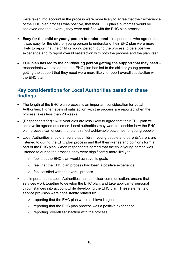were taken into account in the process were more likely to agree that their experience of the EHC plan process was positive, that their EHC plan's outcomes would be achieved and that, overall, they were satisfied with the EHC plan process.

- **Easy for the child or young person to understand** respondents who agreed that it was easy for the child or young person to understand their EHC plan were more likely to report that the child or young person found the process to be a positive experience and to report overall satisfaction with both the process and the plan itself.
- **EHC plan has led to the child/young person getting the support that they need** respondents who stated that the EHC plan has led to the child or young person getting the support that they need were more likely to report overall satisfaction with the EHC plan.

### <span id="page-9-0"></span>**Key considerations for Local Authorities based on these findings**

- The length of the EHC plan process is an important consideration for Local Authorities. Higher levels of satisfaction with the process are reported when the process takes less than 20 weeks.
- (Respondents for) 16-25 year olds are less likely to agree that their EHC plan will achieve its agreed outcomes. Local authorities may want to consider how the EHC plan process can ensure that plans reflect achievable outcomes for young people.
- Local Authorities should ensure that children, young people and parents/carers are listened to during the EHC plan process and that their wishes and opinions form a part of the EHC plan. When respondents agreed that the child/young person was listened to during the process, they were significantly more likely to:
	- $\circ$  feel that the EHC plan would achieve its goals
	- $\circ$  feel that the EHC plan process had been a positive experience
	- o feel satisfied with the overall process
- It is important that Local Authorities maintain clear communication, ensure that services work together to develop the EHC plan, and take applicants' personal circumstances into account while developing the EHC plan. These elements of service provision were consistently related to:
	- $\circ$  reporting that the EHC plan would achieve its goals
	- $\circ$  reporting that the EHC plan process was a positive experience
	- o reporting overall satisfaction with the process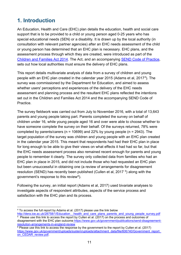## <span id="page-10-0"></span>**1. Introduction**

An Education, Health and Care (EHC) plan details the education, health and social care support that is to be provided to a child or young person aged 0-25 years who has special educational needs (SEN) or a disability. It is drawn up by the local authority (in consultation with relevant partner agencies) after an EHC needs assessment of the child or young person has determined that an EHC plan is necessary. EHC plans, and the assessment process through which they are created, were introduced as part of the [Children and Families Act 2014.](http://www.legislation.gov.uk/ukpga/2014/6/contents/enacted) The Act, and an accompanying [SEND Code of Practice,](https://www.gov.uk/government/publications/send-code-of-practice-0-to-25) sets out how local authorities must ensure the delivery of EHC plans.

This report details multivariate analysis of data from a survey of children and young people with an EHC plan created in the calendar year 2015 (Adams et al, 2017[4](#page-10-1)). The survey was commissioned by the Department for Education, and aimed to assess whether users' perceptions and experiences of the delivery of the EHC needs assessment and planning process and the resultant EHC plans reflected the intentions set out in the Children and Families Act 2014 and the accompanying SEND Code of Practice.

The survey fieldwork was carried out from July to November 2016, with a total of 13,643 parents and young people taking part. Parents completed the survey on behalf of children under 16, while young people aged 16 and over were able to choose whether to have someone complete the survey on their behalf. Of the surveys returned, 78% were completed by parents/carers ( $n = 10699$ ) and 22% by young people ( $n = 2943$ ). The target population of the survey was children and young people with an EHC plan created in the calendar year 2015. This meant that respondents had had their EHC plan in place for long enough to be able to give their views on what effects it had had so far, but that the EHC needs assessment process also remained recent enough for parents and young people to remember it clearly. The survey only collected data from families who had an EHC plan in place in 2015, and did not include those who had requested an EHC plan but been unsuccessful in obtaining one (a review of arrangements for disagreement resolution (SEND) has recently been published (Cullen et al, 2017 [5](#page-10-2)) along with the government's response to this review<sup>6</sup>).

Following the survey, an initial report (Adams et al, 2017) used bivariate analyses to investigate aspects of respondent attributes, aspects of the service process and satisfaction with the EHC plan and its process.

<span id="page-10-1"></span> <sup>4</sup> To access the full report by Adams et al. (2017) please use the link below

<span id="page-10-2"></span>http://dera.ioe.ac.uk/28758/1/Education\_ health\_and\_care\_plans\_parents\_and\_young\_people\_survey.pdf  $5$  Please use this link to access the report by Cullen et al. (2017) on the process and outcomes of disagreement with the EHC plan outcome [https://www.gov.uk/government/publications/send-disagreement-](https://www.gov.uk/government/publications/send-disagreement-resolution-arrangements-in-england-review)

[resolution-arrangements-in-england-review](https://www.gov.uk/government/publications/send-disagreement-resolution-arrangements-in-england-review)

<span id="page-10-3"></span> $6$  Please use this link to access the response by the government to the report by Cullen et al. (2017) [https://www.gov.uk/government/uploads/system/uploads/attachment\\_data/file/606740/Government\\_report\\_](https://www.gov.uk/government/uploads/system/uploads/attachment_data/file/606740/Government_report_on_CEDAR_review.pdf) [on\\_CEDAR\\_review.pdf.](https://www.gov.uk/government/uploads/system/uploads/attachment_data/file/606740/Government_report_on_CEDAR_review.pdf)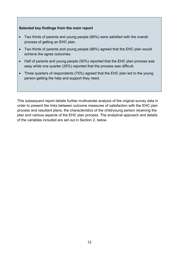#### **Selected key findings from the main report**

- Two thirds of parents and young people (66%) were satisfied with the overall process of getting an EHC plan.
- Two thirds of parents and young people (66%) agreed that the EHC plan would achieve the agree outcomes.
- Half of parents and young people (50%) reported that the EHC plan process was easy while one quarter (25%) reported that the process was difficult.
- Three quarters of respondents (75%) agreed that the EHC plan led to the young person getting the help and support they need.

This subsequent report details further multivariate analysis of the original survey data in order to present the links between outcome measures of satisfaction with the EHC plan process and resultant plans, the characteristics of the child/young person receiving the plan and various aspects of the EHC plan process. The analytical approach and details of the variables included are set out in Section 2, below.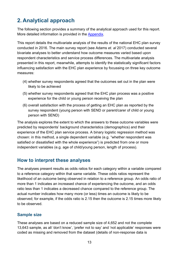# <span id="page-12-0"></span>**2. Analytical approach**

The following section provides a summary of the analytical approach used for this report. More detailed information is provided in the [Appen](#page-32-0)dix.

This report details the multivariate analysis of the results of the national EHC plan survey conducted in 2016. The main survey report (see Adams *et. al* 2017) conducted several bivariate analyses to better understand how outcome measures varied based upon respondent characteristics and service process differences. The multivariate analysis presented in this report, meanwhile, attempts to identify the statistically significant factors influencing satisfaction with the EHC plan experience by focussing on three key outcome measures:

- (4) whether survey respondents agreed that the outcomes set out in the plan were likely to be achieved
- (5) whether survey respondents agreed that the EHC plan process was a positive experience for the child or young person receiving the plan
- (6) overall satisfaction with the process of getting an EHC plan as reported by the survey respondent (young person with SEND or parent/carer of child or young person with SEND)

The analysis explores the extent to which the answers to these outcome variables were predicted by respondents' background characteristics (demographics) and their experience of the EHC plan service process. A binary logistic regression method was chosen: in this method, a single dependent variable (e.g. "whether respondent was satisfied or dissatisfied with the whole experience") is predicted from one or more independent variables (e.g. age of child/young person, length of process).

### <span id="page-12-1"></span>**How to interpret these analyses**

The analyses present results as odds ratios for each category within a variable compared to a reference category within that same variable. These odds ratios represent the likelihood of an outcome being observed in relation to a reference group. An odds ratio of more than 1 indicates an increased chance of experiencing the outcome, and an odds ratio less than 1 indicates a decreased chance compared to the reference group. The actual number indicates how many more (or less) times an outcome is likely to be observed; for example, if the odds ratio is 2.15 then the outcome is 2.15 times more likely to be observed.

### <span id="page-12-2"></span>**Sample size**

These analyses are based on a reduced sample size of 4,652 and not the complete 13,643 sample, as all 'don't know', 'prefer not to say' and 'not applicable' responses were coded as missing and removed from the dataset (details of non-response data is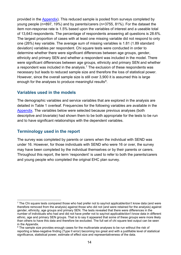provided in the [Appendix\)](#page-32-0). This reduced sample is pooled from surveys completed by young people (n=897, 19%) and by parents/carers (n=3755, 81%). For the dataset the item non-response rate is 1.5% based upon the variables of interest and a useable total of 13,643 respondents. The percentage of respondents answering all questions is 28.6%. The largest proportion of cases with at least one missing variable did not respond to only one (26%) key variable. The average sum of missing variables is 1.81 (1.89 standard deviation) variables per respondent. Chi square tests were conducted in order to determine whether there were significant differences between age groups, gender, ethnicity and primary SEN and whether a respondent was included in the model. There were significant differences between age groups, ethnicity and primary SEN and whether a respondent was included in the analysis. $^7$  $^7$  The exclusion of these respondents was necessary but leads to reduced sample size and therefore the loss of statistical power. However, since the overall sample size is still over 3,900 it is assumed this is large enough for the analyses to produce meaningful results<sup>8</sup>.

### <span id="page-13-0"></span>**Variables used in the models**

The demographic variables and service variables that are explored in the analysis are detailed in Table 1 overleaf. Frequencies for the following variables are available in the [Appendix.](#page-32-0) The variables below were selected because previous analyses (both descriptive and bivariate) had shown them to be both appropriate for the tests to be run and to have significant relationships with the dependent variables.

### <span id="page-13-1"></span>**Terminology used in the report**

The survey was completed by parents or carers when the individual with SEND was under 16. However, for those individuals with SEND who were 16 or over, the survey may have been completed by the individual themselves or by their parents or carers. Throughout this report, the term 'respondent' is used to refer to both the parents/carers and young people who completed the original EHC plan survey.

<span id="page-13-2"></span> $\frac{7}{1}$  The Chi square tests compared those who had prefer not to say/not applicable/don't know data (and were therefore removed from the analysis) against those who did not (and were retained for the analysis) against gender, ethnicity, age groups and primary SEN. The tests revealed that there were differences in the number of individuals who had and did not have prefer not to say/not applicable/don't know data in different ethnic, age and primary SEN groups. That is to say it appeared that some of these groups were more likely than others to have this data and therefore be excluded. The full set of chi square test output can be seen in the Appendix.

<span id="page-13-3"></span><sup>&</sup>lt;sup>8</sup> The sample size provides enough cases for the multivariate analyses to be run without the risk of reporting a false-negative finding (Type II error) becoming too great and with a justifiable level of statistical significance, statistical power, estimate of effect size and representativeness of the data.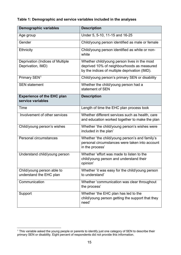#### <span id="page-14-0"></span>**Table 1: Demographic and service variables included in the analyses**

| <b>Demographic variables</b>                           | <b>Description</b>                                                                                                                          |
|--------------------------------------------------------|---------------------------------------------------------------------------------------------------------------------------------------------|
| Age group                                              | Under 5, 5-10, 11-15 and 16-25                                                                                                              |
| Gender                                                 | Child/young person identified as male or female                                                                                             |
| <b>Ethnicity</b>                                       | Child/young person identified as white or non-<br>white                                                                                     |
| Deprivation (Indices of Multiple<br>Deprivation, IMD)  | Whether child/young person lives in the most<br>deprived 10% of neighbourhoods as measured<br>by the indices of multiple deprivation (IMD). |
| Primary SEN <sup>1</sup>                               | Child/young person's primary SEN or disability                                                                                              |
| <b>SEN</b> statement                                   | Whether the child/young person had a<br>statement of SEN                                                                                    |
| <b>Experience of the EHC plan</b><br>service variables | <b>Description</b>                                                                                                                          |
| Time                                                   | Length of time the EHC plan process took                                                                                                    |
| Involvement of other services                          | Whether different services such as health, care<br>and education worked together to make the plan                                           |
| Child/young person's wishes                            | Whether 'the child/young person's wishes were<br>included in the plan'                                                                      |
| Personal circumstances                                 | Whether 'the child/young person's and family's<br>personal circumstances were taken into account<br>in the process'                         |
| Understand child/young person                          | Whether 'effort was made to listen to the<br>child/young person and understand their<br>opinion'                                            |
| Child/young person able to<br>understand the EHC plan  | Whether 'it was easy for the child/young person<br>to understand'                                                                           |
| Communication                                          | Whether 'communication was clear throughout<br>the process'                                                                                 |
| Support                                                | Whether 'the EHC plan has led to the<br>child/young person getting the support that they<br>need'                                           |

<span id="page-14-1"></span> <sup>1</sup> This variable asked the young people or parents to identify just one category of SEN to describe their primary SEN or disability. Eight percent of respondents did not provide this information.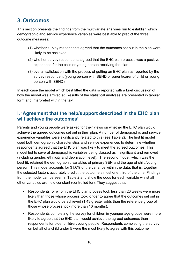# <span id="page-15-0"></span>**3. Outcomes**

This section presents the findings from the multivariate analyses run to establish which demographic and service experience variables were best able to predict the three outcome measures:

- (1) whether survey respondents agreed that the outcomes set out in the plan were likely to be achieved
- (2) whether survey respondents agreed that the EHC plan process was a positive experience for the child or young person receiving the plan
- (3) overall satisfaction with the process of getting an EHC plan as reported by the survey respondent (young person with SEND or parent/carer of child or young person with SEND)

In each case the model which best fitted the data is reported with a brief discussion of how the model was arrived at. Results of the statistical analyses are presented in tabular form and interpreted within the text.

### <span id="page-15-1"></span>**i. 'Agreement that the help/support described in the EHC plan will achieve the outcomes'**

Parents and young people were asked for their views on whether the EHC plan would achieve the agreed outcomes set out in their plan. A number of demographic and service experience variables were significantly related to this (see Table 2). The first fit model used both demographic characteristics and service experiences to determine whether respondents agreed that the EHC plan was likely to meet the agreed outcomes. This model led to several demographic variables being classed as insignificant and removed (including gender, ethnicity and deprivation level). The second model, which was the best fit, retained the demographic variables of primary SEN and the age of child/young person. This model accounts for 31.6% of the variance within the data: that is, together the selected factors accurately predict the outcome almost one third of the time. Findings from the model can be seen in Table 2 and show the odds for each variable whilst all other variables are held constant (controlled for). They suggest that:

- Respondents for whom the EHC plan process took less than 20 weeks were more likely than those whose process took longer to agree that the outcomes set out in the EHC plan would be achieved (1.43 greater odds than the reference group of those whose process took more than 10 months).
- Respondents completing the survey for children in younger age groups were more likely to agree that the EHC plan would achieve the agreed outcomes than respondents for older children/young people. Respondents completing the survey on behalf of a child under 5 were the most likely to agree with this outcome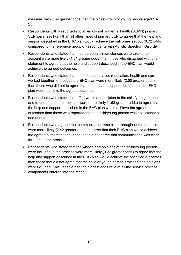measure, with 7.64 greater odds than the oldest group of young people aged 16- 25.

- Respondents with a reported social, emotional or mental health (SEMH) primary SEN were less likely than all other types of primary SEN to agree that the help and support described in the EHC plan would achieve the outcomes set out (0.72 odds compared to the reference group of respondents with Autistic Spectrum Disorder).
- Respondents who stated that their personal circumstances were taken into account were more likely (1.81 greater odds) than those who disagreed with this statement to agree that the help and support described in the EHC plan would achieve the agreed outcomes.
- Respondents who stated that the different services (education, health and care) worked together to produce the EHC plan were more likely (2.50 greater odds) than those who did not to agree that the help and support described in the EHC plan would achieve the agreed outcomes.
- Respondents who stated that effort was made to listen to the child/young person and to understand their opinion were more likely (1.53 greater odds) to agree that the help and support described in the EHC plan would achieve the agreed outcomes than those who reported that the child/young person was not listened to and understood.
- Respondents who agreed that communication was clear throughout the process were more likely (2.42 greater odds) to agree that their EHC plan would achieve the agreed outcomes than those that did not agree that communication was clear throughout the process.
- Respondents who stated that the wishes and opinions of the child/young person were included in the process were more likely (3.22 greater odds) to agree that the help and support described in the EHC plan would achieve the specified outcomes than those that did not agree that the child or young person's wishes and opinions were included. This variable had the highest odds ratio of all the service process components entered into the model.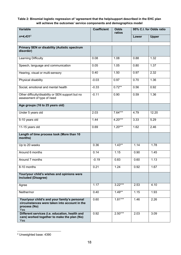#### <span id="page-17-0"></span>**Table 2: Binomial logistic regression of 'agreement that the help/support described in the EHC plan will achieve the outcomes' service components and demographics model**

| Variable                                                                                                            | <b>Coefficient</b> | <b>Odds</b><br>ratios |       | 95% C.I. for Odds ratio |
|---------------------------------------------------------------------------------------------------------------------|--------------------|-----------------------|-------|-------------------------|
| $n=4,431^2$                                                                                                         |                    |                       | Lower | <b>Upper</b>            |
| <b>Primary SEN or disability (Autistic spectrum</b><br>disorder)                                                    |                    |                       |       |                         |
| Learning Difficulty                                                                                                 | 0.08               | 1.08                  | 0.88  | 1.32                    |
| Speech, language and communication                                                                                  | 0.05               | 1.05                  | 0.80  | 1.37                    |
| Hearing, visual or multi-sensory                                                                                    | 0.40               | 1.50                  | 0.97  | 2.32                    |
| Physical disability                                                                                                 | $-0.03$            | 0.97                  | 0.70  | 1.36                    |
| Social, emotional and mental health                                                                                 | $-0.33$            | $0.72**$              | 0.56  | 0.92                    |
| Other difficulty/disability or SEN support but no<br>assessment of type of need                                     | $-0.11$            | 0.90                  | 0.59  | 1.36                    |
| Age groups (16 to 25 years old)                                                                                     |                    |                       |       |                         |
| Under 5 years old                                                                                                   | 2.03               | $7.64***$             | 4.79  | 12.20                   |
| 5-10 years old                                                                                                      | 1.44               | $4.20***$             | 3.33  | 5.29                    |
| 11-15 years old                                                                                                     | 0.69               | $1.20***$             | 1.62  | 2.46                    |
| Length of time process took (More than 10<br>months)                                                                |                    |                       |       |                         |
| Up to 20 weeks                                                                                                      | 0.36               | $1.43**$              | 1.14  | 1.78                    |
| Around 6 months                                                                                                     | 0.14               | 1.15                  | 0.90  | 1.45                    |
| Around 7 months                                                                                                     | $-0.19$            | 0.83                  | 0.60  | 1.13                    |
| 8-10 months                                                                                                         | 0.21               | 1.24                  | 0.92  | 1.67                    |
| Your/your child's wishes and opinions were<br>included (Disagree)                                                   |                    |                       |       |                         |
| Agree                                                                                                               | 1.17               | $3.22***$             | 2.53  | 4.10                    |
| Neither/nor                                                                                                         | 0.40               | $1.49**$              | 1.15  | 1.93                    |
| Your/your child's and your family's personal<br>circumstances were taken into account in the<br>process (No)<br>Yes | 0.60               | $1.81***$             | 1.46  | 2.26                    |
| Different services (i.e. education, health and<br>care) worked together to make the plan (No)<br>Yes                | 0.92               | $2.50***$             | 2.03  | 3.09                    |

<span id="page-17-1"></span> <sup>2</sup> Unweighted base: 4390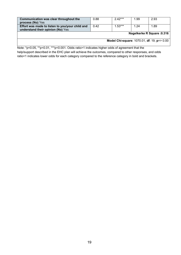| Communication was clear throughout the<br>process (No) Yes                           | 0.88 | $2.42***$ | 1.99 | 2.93                                        |
|--------------------------------------------------------------------------------------|------|-----------|------|---------------------------------------------|
| Effort was made to listen to you/your child and<br>understand their opinion (No) Yes | 0.42 | $1.53***$ | 1.24 | 1.89                                        |
|                                                                                      |      |           |      | Nagelkerke R Square : 0.316                 |
|                                                                                      |      |           |      | Model Chi-square: 1070.01, df: 19, p=> 0.00 |

Note: \*p<0.05, \*\*p<0.01, \*\*\*p<0.001. Odds ratio>1 indicates higher odds of agreement that the help/support described in the EHC plan will achieve the outcomes, compared to other responses, and odds ratio<1 indicates lower odds for each category compared to the reference category in bold and brackets.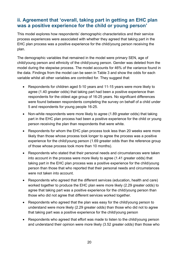### <span id="page-19-0"></span>**ii. Agreement that 'overall, taking part in getting an EHC plan was a positive experience for the child or young person'**

This model explores how respondents' demographic characteristics and their service process experiences were associated with whether they agreed that taking part in the EHC plan process was a positive experience for the child/young person receiving the plan.

The demographic variables that remained in the model were primary SEN, age of child/young person and ethnicity of the child/young person. Gender was deleted from the model during the stepwise process. The model accounts for 46% of the variance found in the data. Findings from the model can be seen in Table 3 and show the odds for each variable whilst all other variables are controlled for. They suggest that:

- Respondents for children aged 5-10 years and 11-15 years were more likely to agree (1.40 greater odds) that taking part had been a positive experience than respondents for the oldest age group of 16-25 years. No significant differences were found between respondents completing the survey on behalf of a child under 5 and respondents for young people 16-25.
- Non-white respondents were more likely to agree (1.89 greater odds) that taking part in the EHC plan process had been a positive experience for the child or young person receiving the plan than respondents that were white.
- Respondents for whom the EHC plan process took less than 20 weeks were more likely than those whose process took longer to agree the process was a positive experience for the child/young person (1.69 greater odds than the reference group of those whose process took more than 10 months).
- Respondents who stated that their personal needs and circumstances were taken into account in the process were more likely to agree (1.41 greater odds) that taking part in the EHC plan process was a positive experience for the child/young person than those that who reported that their personal needs and circumstances were not taken into account.
- Respondents who agreed that the different services (education, health and care) worked together to produce the EHC plan were more likely (2.29 greater odds) to agree that taking part was a positive experience for the child/young person than those who did not agree that different services worked together.
- Respondents who agreed that the plan was easy for the child/young person to understand were more likely (2.29 greater odds) than those who did not to agree that taking part was a positive experience for the child/young person
- Respondents who agreed that effort was made to listen to the child/young person and understand their opinion were more likely (3.52 greater odds) than those who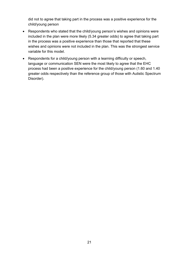did not to agree that taking part in the process was a positive experience for the child/young person

- Respondents who stated that the child/young person's wishes and opinions were included in the plan were more likely (5.34 greater odds) to agree that taking part in the process was a positive experience than those that reported that these wishes and opinions were not included in the plan. This was the strongest service variable for this model.
- Respondents for a child/young person with a learning difficulty or speech, language or communication SEN were the most likely to agree that the EHC process had been a positive experience for the child/young person (1.60 and 1.40 greater odds respectively than the reference group of those with Autistic Spectrum Disorder).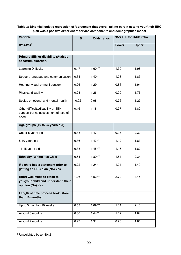#### <span id="page-21-0"></span>**Table 3: Binomial logistic regression of 'agreement that overall taking part in getting your/their EHC plan was a positive experience' service components and demographics model**

| Variable                                                                                       | B       | <b>Odds ratios</b> | 95% C.I. for Odds ratio |              |
|------------------------------------------------------------------------------------------------|---------|--------------------|-------------------------|--------------|
| $n = 4,054^3$                                                                                  |         |                    | Lower                   | <b>Upper</b> |
| <b>Primary SEN or disability (Autistic</b>                                                     |         |                    |                         |              |
| spectrum disorder)                                                                             |         |                    |                         |              |
| Learning Difficulty                                                                            | 0.47    | $1.60***$          | 1.30                    | 1.98         |
| Speech, language and communication                                                             | 0.34    | $1.40*$            | 1.08                    | 1.83         |
| Hearing, visual or multi-sensory                                                               | 0.26    | 1.29               | 0.86                    | 1.94         |
| Physical disability                                                                            | 0.23    | 1.26               | 0.90                    | 1.76         |
| Social, emotional and mental health                                                            | $-0.02$ | 0.98               | 0.76                    | 1.27         |
| Other difficulty/disability or SEN<br>support but no assessment of type of<br>need             | 0.16    | 1.18               | 0.77                    | 1.80         |
| Age groups (16 to 25 years old)                                                                |         |                    |                         |              |
| Under 5 years old                                                                              | 0.38    | 1.47               | 0.93                    | 2.30         |
| 5-10 years old                                                                                 | 0.36    | $1.43**$           | 1.12                    | 1.83         |
| 11-15 years old                                                                                | 0.38    | $1.45***$          | 1.16                    | 1.82         |
| Ethnicity (White) non-white                                                                    | 0.64    | $1.89***$          | 1.54                    | 2.34         |
| If a child had a statement prior to<br>getting an EHC plan (No) Yes                            | 0.22    | $1.24*$            | 1.04                    | 1.49         |
| <b>Effort was made to listen to</b><br>you/your child and understand their<br>opinion (No) Yes | 1.26    | $3.52***$          | 2.79                    | 4.45         |
| Length of time process took (More<br>than 10 months)                                           |         |                    |                         |              |
| Up to 5 months (20 weeks)                                                                      | 0.53    | $1.69***$          | 1.34                    | 2.13         |
| Around 6 months                                                                                | 0.36    | $1.44***$          | 1.12                    | 1.84         |
| Around 7 months                                                                                | 0.27    | 1.31               | 0.93                    | 1.85         |

<span id="page-21-1"></span>3 Unweighted base: 4012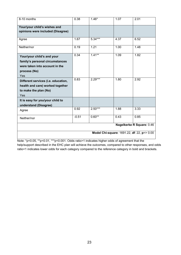| 8-10 months                                                                                                            | 0.38    | $1.46*$   | 1.07 | 2.01                                        |
|------------------------------------------------------------------------------------------------------------------------|---------|-----------|------|---------------------------------------------|
| Your/your child's wishes and<br>opinions were included (Disagree)                                                      |         |           |      |                                             |
| Agree                                                                                                                  | 1.67    | $5.34***$ | 4.37 | 6.52                                        |
| Neither/nor                                                                                                            | 0.19    | 1.21      | 1.00 | 1.48                                        |
| Your/your child's and your<br>family's personal circumstances<br>were taken into account in the<br>process (No)<br>Yes | 0.34    | $1.41**$  | 1.09 | 1.82                                        |
| Different services (i.e. education,<br>health and care) worked together<br>to make the plan (No)<br>Yes                | 0.83    | $2.29***$ | 1.80 | 2.92                                        |
| It is easy for you/your child to<br>understand (Disagree)                                                              |         |           |      |                                             |
| Agree                                                                                                                  | 0.92    | $2.50***$ | 1.88 | 3.33                                        |
| Neither/nor                                                                                                            | $-0.51$ | $0.60**$  | 0.43 | 0.85                                        |
| Nagelkerke R Square: 0.46                                                                                              |         |           |      |                                             |
|                                                                                                                        |         |           |      | Model Chi-square: 1691.22, df: 22, p=> 0.00 |

Note: \*p<0.05, \*\*p<0.01, \*\*\*p<0.001. Odds ratio>1 indicates higher odds of agreement that the help/support described in the EHC plan will achieve the outcomes, compared to other responses, and odds ratio<1 indicates lower odds for each category compared to the reference category in bold and brackets.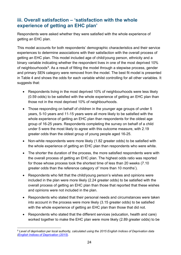### <span id="page-23-0"></span>**iii. Overall satisfaction – 'satisfaction with the whole experience of getting an EHC plan'**

Respondents were asked whether they were satisfied with the whole experience of getting an EHC plan.

This model accounts for both respondents' demographic characteristics and their service experiences to determine associations with their satisfaction with the overall process of getting an EHC plan. This model included age of child/young person, ethnicity and a binary variable indicating whether the respondent lives in one of the most deprived 10% of neighbourhoods<sup>[9](#page-23-1)</sup>. As a result of fitting the model through a stepwise process, gender and primary SEN category were removed from the model. The best fit model is presented in Table 4 and shows the odds for each variable whilst controlling for all other variables. It suggests that:

- Respondents living in the most deprived 10% of neighbourhoods were less likely (0.59 odds) to be satisfied with the whole experience of getting an EHC plan than those not in the most deprived 10% of neighbourhoods.
- Those responding on behalf of children in the younger age groups of under 5 years, 5-10 years and 11-15 years were all more likely to be satisfied with the whole experience of getting an EHC plan than respondents for the oldest age group of 16-25 years. Respondents completing the survey on behalf of a child under 5 were the most likely to agree with this outcome measure, with 2.19 greater odds than the oldest group of young people aged 16-25.
- Non-white respondents were more likely (1.82 greater odds) to be satisfied with the whole experience of getting an EHC plan than respondents who were white.
- The shorter the duration of the process, the more satisfied respondents were with the overall process of getting an EHC plan. The highest odds ratio was reported for those whose process took the shortest time of less than 20 weeks (7.10 greater odds than the reference category of 'more than 10 months').
- Respondents who felt that the child/young person's wishes and opinions were included in the plan were more likely (2.24 greater odds) to be satisfied with the overall process of getting an EHC plan than those that reported that these wishes and opinions were not included in the plan.
- Respondents who stated that their personal needs and circumstances were taken into account in the process were more likely (3.15 greater odds) to be satisfied with the whole experience of getting an EHC plan than those that did not.
- Respondents who stated that the different services (education, health and care) worked together to make the EHC plan were more likely (2.89 greater odds) to be

<span id="page-23-1"></span> <sup>9</sup> *Level of deprivation per local authority, calculated using the 2015 English Indices of Deprivation data [\(English Indices of Deprivation \(2015\).](https://www.gov.uk/government/statistics/english-indices-of-deprivation-2015)*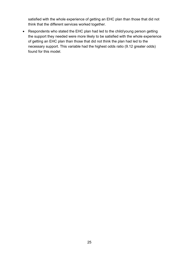satisfied with the whole experience of getting an EHC plan than those that did not think that the different services worked together.

• Respondents who stated the EHC plan had led to the child/young person getting the support they needed were more likely to be satisfied with the whole experience of getting an EHC plan than those that did not think the plan had led to the necessary support. This variable had the highest odds ratio (9.12 greater odds) found for this model.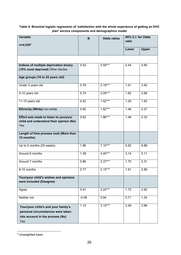#### <span id="page-25-0"></span>**Table 4: Binomial logistic regression of 'satisfaction with the whole experience of getting an EHC plan' service components and demographics model**

| <b>Variable</b><br>$n=4,630^4$                                                                                      | B       | <b>Odds ratios</b> | 95% C.I. for Odds<br>ratio |              |
|---------------------------------------------------------------------------------------------------------------------|---------|--------------------|----------------------------|--------------|
|                                                                                                                     |         |                    | Lower                      | <b>Upper</b> |
|                                                                                                                     |         |                    |                            |              |
| Indices of multiple deprivation binary<br>(10% most deprived) Other deciles                                         | 0.52    | $0.59***$          | 0.44                       | 0.80         |
| Age groups (16 to 25 years old)                                                                                     |         |                    |                            |              |
| Under 5 years old                                                                                                   | 0.78    | $2.19***$          | 1.41                       | 3.40         |
| 5-10 years old                                                                                                      | 0.74    | $2.09***$          | 1.62                       | 2.68         |
| 11-15 years old                                                                                                     | 0.42    | $1.52***$          | 1.20                       | 1.93         |
| Ethnicity (White) non-white                                                                                         | 0.60    | $1.82***$          | 1.46                       | 2.27         |
| Effort was made to listen to you/your<br>child and understand their opinion (No)<br>Yes                             | 0.62    | $1.86***$          | 1.48                       | 2.33         |
| Length of time process took (More than<br>10 months)                                                                |         |                    |                            |              |
| Up to 5 months (20 weeks)                                                                                           | 1.96    | $7.10***$          | 5.62                       | 8.98         |
| Around 6 months                                                                                                     | 1.39    | $4.00***$          | 3.14                       | 5.11         |
| Around 7 months                                                                                                     | 0.86    | $2.37***$          | $\overline{1}$ .70         | 3.31         |
| 8-10 months                                                                                                         | 0.77    | $2.15***$          | 1.61                       | 2.89         |
| Your/your child's wishes and opinions<br>were included (Disagree)                                                   |         |                    |                            |              |
| Agree                                                                                                               | 0.81    | $2.24***$          | 1.72                       | 2.92         |
| Neither nor                                                                                                         | $-0.06$ | 0.94               | 0.71                       | 1.24         |
| Your/your child's and your family's<br>personal circumstances were taken<br>into account in the process (No)<br>Yes | 1.15    | $3.15***$          | 2.49                       | 3.99         |

<span id="page-25-1"></span> <sup>4</sup> Unweighted base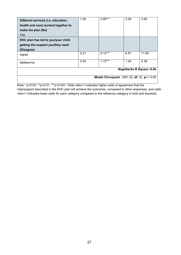| Different services (i.e. education,<br>health and care) worked together to<br>make the plan (No)<br>Yes | 1.06 | $2.89***$ | 2.29 | 3.65                       |
|---------------------------------------------------------------------------------------------------------|------|-----------|------|----------------------------|
| EHC plan has led to you/your child<br>getting the support you/they need<br>(Disagree)                   |      |           |      |                            |
| Agree                                                                                                   | 2.21 | $9.12***$ | 6.97 | 11.94                      |
| Neither/nor                                                                                             | 0.54 | $1.72***$ | 1.24 | 2.39                       |
|                                                                                                         |      |           |      | Nagelkerke R Square : 0.46 |
| Model Chi-square: 1691.22, df: 22, p=> 0.00                                                             |      |           |      |                            |

Note: \*p<0.05, \*\*p<0.01, \*\*\*p<0.001. Odds ratio>1 indicates higher odds of agreement that the help/support described in the EHC plan will achieve the outcomes, compared to other responses, and odds ratio<1 indicates lower odds for each category compared to the reference category in bold and brackets.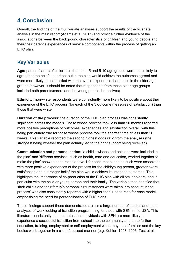# <span id="page-27-0"></span>**4. Conclusion**

Overall, the findings of the multivariate analyses support the results of the bivariate analysis in the main report (Adams et al, 2017) and provide further evidence of the associations between the background characteristics of children and young people and their/their parent's experiences of service components within the process of getting an EHC plan.

### <span id="page-27-1"></span>**Key Variables**

**Age:** parents/carers of children in the under 5 and 5-10 age groups were more likely to agree that the help/support set out in the plan would achieve the outcomes agreed and were more likely to be satisfied with the overall experience than those in the older age groups (however, it should be noted that respondents from these older age groups included both parents/carers and the young people themselves).

**Ethnicity:** non-white respondents were consistently more likely to be positive about their experience of the EHC process (for each of the 3 outcome measures of satisfaction) than those that were white.

**Duration of the process:** the duration of the EHC plan process was consistently significant across the models. Those whose process took less than 10 months reported more positive perceptions of outcomes, experiences and satisfaction overall, with this being particularly true for those whose process took the shortest time of less than 20 weeks. This variable recorded the second highest odds ratio from the analyses (the strongest being whether the plan actually led to the right support being received).

**Communication and personalisation:** 'a child's wishes and opinions were included in the plan' and 'different services, such as health, care and education, worked together to make the plan' showed odds ratios above 1 for each model and as such were associated with more positive experiences of the process for the child/young person, greater overall satisfaction and a stronger belief the plan would achieve its intended outcomes. This highlights the importance of co-production of the EHC plan with all stakeholders, and in particular with the child or young person and their family. The variable that identified that 'their child's and their family's personal circumstances were taken into account in the process' was also consistently reported with a higher than 1 odds ratio for each model, emphasising the need for personalisation of EHC plans.

These findings support those demonstrated across a large number of studies and metaanalyses of work looking at transition programming for those with SEN in the USA. This literature consistently demonstrates that individuals with SEN are more likely to experience a successful transition from school into the community and on to further education, training, employment or self-employment when they, their families and the key bodies work together in a client focussed manner (e.g. Kohler, 1993, 1996; Test et al,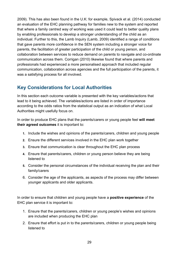2009). This has also been found in the U.K: for example, Spivack et al. (2014) conducted an evaluation of the EHC planning pathway for families new to the system and reported that where a family centred way of working was used it could lead to better quality plans by enabling professionals to develop a stronger understanding of the child as an individual. Further to this, the Lamb Inquiry (Lamb, 2009) identified a range of conditions that gave parents more confidence in the SEN system including a stronger voice for parents, the facilitation of greater participation of the child or young person, and collaboration between services to reduce demand on parents to navigate and co-ordinate communication across them. Corrigan (2010) likewise found that where parents and professionals had experienced a more personalised approach that included regular communication, collaboration across agencies and the full participation of the parents, it was a satisfying process for all involved.

### <span id="page-28-0"></span>**Key Considerations for Local Authorities**

In this section each outcome variable is presented with the key variables/actions that lead to it being achieved. The variables/actions are listed in order of importance according to the odds ratios from the statistical output as an indication of what Local Authorities might usefully focus on.

In order to produce EHC plans that the parents/carers or young people feel **will meet their agreed outcomes** it is important to:

- **1.** Include the wishes and opinions of the parents/carers, children and young people
- **2.** Ensure the different services involved in the EHC plan work together
- **3.** Ensure that communication is clear throughout the EHC plan process
- **4.** Ensure that parents/carers, children or young person believe they are being listened to
- **5.** Consider the personal circumstances of the individual receiving the plan and their family/carers
- 6. Consider the age of the applicants, as aspects of the process may differ between younger applicants and older applicants.

In order to ensure that children and young people have a **positive experience** of the EHC plan service it is important to:

- 1. Ensure that the parents/carers, children or young people's wishes and opinions are included when producing the EHC plan
- 2. Ensure that effort is put in to the parents/carers, children or young people being listened to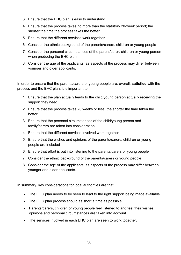- 3. Ensure that the EHC plan is easy to understand
- 4. Ensure that the process takes no more than the statutory 20-week period; the shorter the time the process takes the better
- 5. Ensure that the different services work together
- 6. Consider the ethnic background of the parents/carers, children or young people
- 7. Consider the personal circumstances of the parent/carer, children or young person when producing the EHC plan
- 8. Consider the age of the applicants, as aspects of the process may differ between younger and older applicants.

In order to ensure that the parents/carers or young people are, overall, **satisfied** with the process and the EHC plan, it is important to:

- 1. Ensure that the plan actually leads to the child/young person actually receiving the support they need
- 2. Ensure that the process takes 20 weeks or less; the shorter the time taken the better
- 3. Ensure that the personal circumstances of the child/young person and family/carers are taken into consideration
- 4. Ensure that the different services involved work together
- 5. Ensure that the wishes and opinions of the parents/carers, children or young people are included
- 6. Ensure that effort is put into listening to the parents/carers or young people
- 7. Consider the ethnic background of the parents/carers or young people
- 8. Consider the age of the applicants, as aspects of the process may differ between younger and older applicants.

In summary, key considerations for local authorities are that:

- The EHC plan needs to be seen to lead to the right support being made available
- The EHC plan process should as short a time as possible
- Parents/carers, children or young people feel listened to and feel their wishes, opinions and personal circumstances are taken into account
- The services involved in each EHC plan are seen to work together.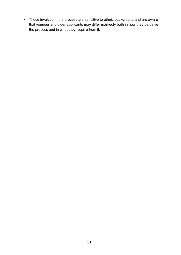• Those involved in the process are sensitive to ethnic background and are aware that younger and older applicants may differ markedly both in how they perceive the process and in what they require from it.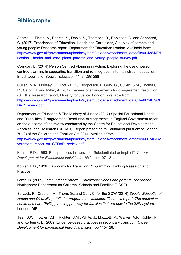### <span id="page-31-0"></span>**Bibliography**

Adams, L, Tindle, A., Basran, S., Dobie, S., Thomson, D., Robinson, D. and Shepherd, C. (2017) Experiences of Education, Health and Care plans, A survey of parents and young people: Research report, Department for Education: London. Available from: [https://www.gov.uk/government/uploads/system/uploads/attachment\\_data/file/604384/Ed](https://www.gov.uk/government/uploads/system/uploads/attachment_data/file/604384/Education__health_and_care_plans_parents_and_young_people_survey.pdf) ucation health and care plans parents and young people survey.pdf

Corrigan, E. (2014) Person Centred Planning in Action: Exploring the use of person centred planning in supporting transition and re-integration into mainstream education. British Journal of Special Education 41, 3, 268-288

Cullen, M.A., Lindsay, G., Totsika, V., Bakopoulou, I., Gray, G., Cullen, S.M., Thomas, R., Caton, S. and Miller, A., 2017. Review of arrangements for disagreement resolution (SEND). Research report, Ministry for Justice: London. Available from: [https://www.gov.uk/government/uploads/system/uploads/attachment\\_data/file/603487/CE](https://www.gov.uk/government/uploads/system/uploads/attachment_data/file/603487/CEDAR_review.pdf) [DAR\\_review.pdf](https://www.gov.uk/government/uploads/system/uploads/attachment_data/file/603487/CEDAR_review.pdf)

Department of Education & The Ministry of Justice (2017) Special Educational Needs and Disabilities: Disagreement Resolution Arrangements in England Government report on the outcome of the review conducted by the Centre for Educational Development, Appraisal and Research (CEDAR). Report presented to Parliament pursuant to Section 79 (3) of the Children and Families Act 2014. Available from: [https://www.gov.uk/government/uploads/system/uploads/attachment\\_data/file/606740/Go](https://www.gov.uk/government/uploads/system/uploads/attachment_data/file/606740/Government_report_on_CEDAR_review.pdf)

vernment\_report\_on\_CEDAR\_review.pdf

Kohler, P.D., 1993. Best practices in transition: Substantiated or implied?. *Career Development for Exceptional Individuals*, *16*(2), pp.107-121.

Kohler, P.D., 1996. Taxonomy for Transition Programming: Linking Research and Practice.

Lamb, B. (2009) *Lamb Inquiry: Special Educational Needs and parental confidence.* Nottingham: Department for Children, Schools and Families (DCSF)

Spivack, R., Craston, M., Thom, G., and Carr, C. for the SQW (2014) *Special Educational Needs and Disability pathfinder programme evaluation. Thematic report: The education, health and care (EHC) planning pathway for families that are new to the SEN system.* London: DfE

Test, D.W., Fowler, C.H., Richter, S.M., White, J., Mazzotti, V., Walker, A.R., Kohler, P. and Kortering, L., 2009. Evidence-based practices in secondary transition. *Career Development for Exceptional Individuals*, *32*(2), pp.115-128.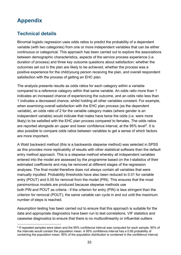# <span id="page-32-0"></span>**Appendix**

### <span id="page-32-1"></span>**Technical details**

Binomial logistic regression uses odds ratios to predict the probability of a dependent variable (with two categories) from one or more independent variables that can be either continuous or categorical. This approach has been carried out to explore the associations between demographic characteristics, aspects of the service process experience (i.e. duration of process) and three key outcome questions about satisfaction: whether the outcomes set out in the plan are likely to be achieved, whether the process was a positive experience for the child/young person receiving the plan, and overall respondent satisfaction with the process of getting an EHC plan.

The analysis presents results as odds ratios for each category within a variable compared to a reference category within that same variable. An odds ratio more than 1 indicates an increased chance of experiencing the outcome, and an odds ratio less than 1 indicates a decreased chance, whilst holding all other variables constant. For example, when examining overall satisfaction with the EHC plan process (as the dependent variable), an odds ratio of 2 for the variable category males (where gender is an independent variable) would indicate that males have twice the odds (i.e. were more likely) to be satisfied with the EHC plan process compared to females. The odds ratios are reported alongside an upper and lower confidence interval, at the  $95\%$  $95\%$  $95\%$  level<sup>5</sup>. It is also possible to compare odds ratios between variables to get a sense of which factors are more important.

A Wald backward method (this is a backwards stepwise method) was selected in SPSS as this provides more replicability of results with other statistical software than the default entry method approach. This is a stepwise method whereby all independent variables entered into the model are assessed by the programme based on the t-statistics of their estimated coefficients and may be removed at different stages of the regression analyses. The final model therefore does not always contain all variables that were manually inputted. Probability thresholds have also been reduced to 0.01 for variable entry (POUT) and 0.05 for removal from the model (PIN). This ensures that the most parsimonious models are produced because stepwise methods use both PIN and POUT as criteria - if the criterion for entry (PIN) is less stringent than the criterion for removal (POUT), the same variable can cycle in and out until the maximum number of steps is reached.

Assumption testing has been carried out to ensure that this approach is suitable for the data and appropriate diagnostics have been run to test correlations, VIF statistics and casewise diagnostics to ensure that there is no multicollinearity or influential outliers

<span id="page-32-2"></span> <sup>5</sup> If repeated samples were taken and the 95% confidence interval was computed for each sample, 95% of the intervals would contain the population mean. A 95% confidence interval has a 0.95 probability of containing the population mean. 95% of the population distribution is contained in the confidence interval.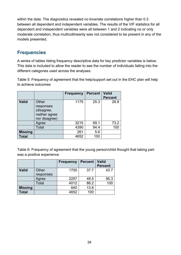within the data. The diagnostics revealed no bivariate correlations higher than 0.3 between all dependent and independent variables. The results of the VIF statistics for all dependent and independent variables were all between 1 and 2 indicating no or only moderate correlation, thus multicollinearity was not considered to be present in any of the models presented.

### <span id="page-33-0"></span>**Frequencies**

A series of tables listing frequency descriptive data for key predictor variables is below. This data is included to allow the reader to see the number of individuals falling into the different categories used across the analyses.

<span id="page-33-1"></span>Table 5: Frequency of agreement that the help/support set out in the EHC plan will help to achieve outcomes

|                |                                                                    | <b>Frequency</b> | <b>Percent</b> | <b>Valid</b><br><b>Percent</b> |
|----------------|--------------------------------------------------------------------|------------------|----------------|--------------------------------|
| <b>Valid</b>   | Other<br>responses<br>(disagree,<br>neither agree<br>nor disagree) | 1175             | 25.3           | 26.8                           |
|                | Agree                                                              | 3215             | 69.1           | 73.2                           |
|                | Total                                                              | 4390             | 94.4           | 100                            |
| <b>Missing</b> |                                                                    | 261              | 5.6            |                                |
| Total          |                                                                    | 4652             | 100            |                                |

<span id="page-33-2"></span>Table 6: Frequency of agreement that the young person/child thought that taking part was a positive experience

<span id="page-33-3"></span>

|                |                    | <b>Frequency</b> | <b>Percent</b> | <b>Valid</b><br><b>Percent</b> |
|----------------|--------------------|------------------|----------------|--------------------------------|
| <b>Valid</b>   | Other<br>responses | 1755             | 37.7           | 43.7                           |
|                | Agree              | 2257             | 48.5           | 56.3                           |
|                | Total              | 4012             | 86.2           | 100                            |
| <b>Missing</b> |                    | 640              | 13.8           |                                |
| <b>Total</b>   |                    | 4652             | 100            |                                |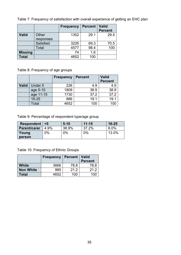Table 7: Frequency of satisfaction with overall experience of getting an EHC plan

|                |                  | <b>Frequency</b> | <b>Percent</b> | <b>Valid</b><br><b>Percent</b> |
|----------------|------------------|------------------|----------------|--------------------------------|
|                |                  |                  |                |                                |
| <b>Valid</b>   | Other            | 1352             | 29.1           | 29.5                           |
|                | responses        |                  |                |                                |
|                | <b>Satisfied</b> | 3226             | 69.3           | 70.5                           |
|                | Total            | 4577             | 98.4           | 100                            |
| <b>Missing</b> |                  | 74               | 1.6            |                                |
| <b>Total</b>   |                  | 4652             | 100            |                                |

<span id="page-34-0"></span>Table 8: Frequency of age groups

|              |           | <b>Frequency</b> | <b>Percent</b> | <b>Valid</b><br><b>Percent</b> |
|--------------|-----------|------------------|----------------|--------------------------------|
| <b>Valid</b> | Under 5   | 226              | 4.9            | 4.9                            |
|              | age 5-10  | 1809             | 38.9           | 38.9                           |
|              | age 11-15 | 1730             | 37.2           | 37.2                           |
|              | 16-25     | 886              | 19.1           | 19.1                           |
|              | Total     | 4652             | 100            |                                |

<span id="page-34-1"></span>Table 9: Percentage of respondent type/age group

| Respondent   | $\leq 5$ | $5 - 10$ | $11 - 15$ | $16 - 25$ |
|--------------|----------|----------|-----------|-----------|
| Parent/carer | 4.9%     | 38.9%    | 37.2%     | 6.0%      |
| Young        | $2\%$    | 0%       | 0%        | 13.0%     |
| person       |          |          |           |           |

<span id="page-34-2"></span>Table 10: Frequency of Ethnic Groups

|                  | <b>Frequency   Percent   Valid</b> |      |                |
|------------------|------------------------------------|------|----------------|
|                  |                                    |      | <b>Percent</b> |
| <b>White</b>     | 3666                               | 78.8 | 78.8           |
| <b>Non White</b> | 985                                | 21.2 | 21.2           |
| Total            | 4652                               | 100  | 700.           |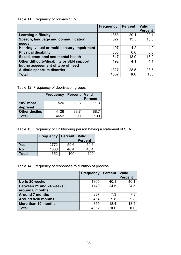### <span id="page-35-0"></span>Table 11: Frequency of primary SEN

|                                             | <b>Frequency</b> | <b>Percent</b> | <b>Valid</b><br><b>Percent</b> |
|---------------------------------------------|------------------|----------------|--------------------------------|
| <b>Learning difficulty</b>                  | 1353             | 29.1           | 29.1                           |
| Speech, language and communication          | 627              | 13.5           | 13.5                           |
| needs                                       |                  |                |                                |
| Hearing, visual or multi-sensory impairment | 197              | 4.2            | 4.2                            |
| <b>Physical disability</b>                  | 308              | 6.6            | 6.6                            |
| Social, emotional and mental health         | 647              | 13.9           | 13.9                           |
| Other difficulty/disability or SEN support  | 192              | 4.1            | 4.1                            |
| but no assessment of type of need           |                  |                |                                |
| Autistic spectrum disorder                  | 1327             | 28.5           | 28.5                           |
| <b>Total</b>                                | 4652             | 100            | 100                            |

<span id="page-35-1"></span>Table 12: Frequency of deprivation groups

|                             | <b>Frequency</b> | <b>Percent</b> | <b>Valid</b><br><b>Percent</b> |
|-----------------------------|------------------|----------------|--------------------------------|
| <b>10% most</b><br>deprived | 526              | 11.3           | 11.3                           |
| <b>Other deciles</b>        | 4126             | 88.7           | 88.7                           |
| Total                       | 4652             | 100            |                                |

<span id="page-35-2"></span>Table 13: Frequency of Child/young person having a statement of SEN

|           | <b>Frequency</b> | <b>Percent</b> | <b>Valid</b>   |
|-----------|------------------|----------------|----------------|
|           |                  |                | <b>Percent</b> |
| Yes       | 2772             | 59.6           | 59.6           |
| <b>No</b> | 1880             | 40.4           | 40.4           |
| Total     | 4652             | 100            | 100            |

<span id="page-35-3"></span>Table 14: Frequency of responses to duration of process

|                           | <b>Frequency</b> | <b>Percent</b> | Valid          |
|---------------------------|------------------|----------------|----------------|
|                           |                  |                | <b>Percent</b> |
| Up to 20 weeks            | 1865             | 40.1           | 40.1           |
| Between 21 and 24 weeks / | 1140             | 24.5           | 24.5           |
| around 6 months           |                  |                |                |
| <b>Around 7 months</b>    | 337              | 7.3            | 7.3            |
| <b>Around 8-10 months</b> | 454              | 9.8            | 9.8            |
| More than 10 months       | 855              | 18.4           | 18.4           |
| Total                     | 4652             | 100            | 100            |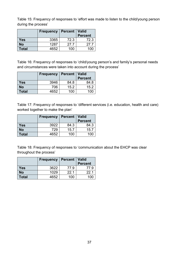<span id="page-36-0"></span>Table 15: Frequency of responses to 'effort was made to listen to the child/young person during the process'

|           | <b>Frequency</b> | Percent   Valid | <b>Percent</b> |
|-----------|------------------|-----------------|----------------|
| Yes       | 3365             | 72.3            | 72.3           |
| <b>No</b> | 1287             | 27.7            | 27 7           |
| Total     | 4652             | 100             |                |

<span id="page-36-1"></span>Table 16: Frequency of responses to 'child/young person's and family's personal needs and circumstances were taken into account during the process'

|              | <b>Frequency</b> | <b>Percent</b> | <b>Valid</b>   |
|--------------|------------------|----------------|----------------|
|              |                  |                | <b>Percent</b> |
| Yes          | 3946             | 84.8           | 84.8           |
| <b>No</b>    | 706              | 15.2           | 15.2           |
| <b>Total</b> | 4652             | 100            | 1()            |

<span id="page-36-2"></span>Table 17: Frequency of responses to 'different services (i.e. education, health and care) worked together to make the plan'

|           | <b>Frequency</b> | <b>Percent</b> | <b>Valid</b>   |
|-----------|------------------|----------------|----------------|
|           |                  |                | <b>Percent</b> |
| Yes       | 3922             | 84.3           | 84.3           |
| <b>No</b> | 729              | 15.7           | 15.7           |
| Total     | 4652             | 100            | 100            |

<span id="page-36-3"></span>Table 18: Frequency of responses to 'communication about the EHCP was clear throughout the process'

|            | <b>Frequency</b> | <b>Percent</b> | Valid          |
|------------|------------------|----------------|----------------|
|            |                  |                | <b>Percent</b> |
| <b>Yes</b> | 3622             | 77.9           | 779            |
| <b>No</b>  | 1029             | 22.1           | 22 1           |
| Total      | 4652             | 100            |                |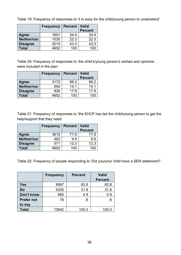|                 | <b>Frequency</b> | <b>Percent</b> | <b>Valid</b><br><b>Percent</b> |
|-----------------|------------------|----------------|--------------------------------|
| Agree           | 1601             | 34.4           | 34.4                           |
| Neither/nor     | 1035             | 22.3           | 22.3                           |
| <b>Disagree</b> | 2015             | 43.3           | 43.3                           |
| Total           | 4652             | 100            | 100                            |

<span id="page-37-0"></span>Table 19: Frequency of responses to 'it is easy for the child/young person to understand'

<span id="page-37-1"></span>Table 20: Frequency of responses to 'the child's/young person's wishes and opinions were included in the plan'

|                 | <b>Frequency</b> | <b>Percent</b> | <b>Valid</b><br><b>Percent</b> |
|-----------------|------------------|----------------|--------------------------------|
| Agree           | 3172             | 68.2           | 68.2                           |
| Neither/nor     | 654              | 14.1           | 14.1                           |
| <b>Disagree</b> | 826              | 17.8           | 17.8                           |
| <b>Total</b>    | 4652             | 100            |                                |

<span id="page-37-2"></span>Table 21: Frequency of responses to 'the EHCP has led the child/young person to get the help/support that they need'

|                 | <b>Frequency</b> | <b>Percent</b> | <b>Valid</b>   |
|-----------------|------------------|----------------|----------------|
|                 |                  |                | <b>Percent</b> |
| Agree           | 3619             | 77.8           | 77.8           |
| Neither/nor     | 462              | 9.9            | 99             |
| <b>Disagree</b> | 571              | 12.3           | 12.3           |
| Total           | 4652             | 100            |                |

Table 22: Frequency of people responding to 'Did you/your child have a SEN statement?'

|                   | <b>Frequency</b> | <b>Percent</b> | <b>Valid</b><br><b>Percent</b> |
|-------------------|------------------|----------------|--------------------------------|
| Yes               | 8567             | 62.8           | 62.8                           |
| <b>No</b>         | 4335             | 31.8           | 31.8                           |
| <b>Don't know</b> | 665              | 4.9            | 4.9                            |
| <b>Prefer not</b> | 76               | $.6\,$         | .6                             |
| to say            |                  |                |                                |
| <b>Total</b>      | 13642            | 100.0          | 100.0                          |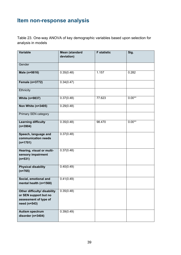# <span id="page-38-0"></span>**Item non-response analysis**

Table 23. One-way ANOVA of key demographic variables based upon selection for analysis in models

| <b>Variable</b>                                                                                | <b>Mean (standard</b><br>deviation) | <b>F</b> statistic | Sig.     |
|------------------------------------------------------------------------------------------------|-------------------------------------|--------------------|----------|
|                                                                                                |                                     |                    |          |
| Gender                                                                                         |                                     |                    |          |
| Male (n=9816)                                                                                  | $0.35(\overline{0.48})$             | 1.157              | 0.282    |
| Female (n=3772)                                                                                | 0.34(0.47)                          |                    |          |
| Ethnicity                                                                                      |                                     |                    |          |
| <b>White (n=9837)</b>                                                                          | 0.37(0.48)                          | 77.623             | $0.00**$ |
| Non White (n=3405)                                                                             | 0.29(0.48)                          |                    |          |
| <b>Primary SEN category</b>                                                                    |                                     |                    |          |
| <b>Learning difficulty</b><br>$(n=3904)$                                                       | 0.35(0.48)                          | 98.470             | $0.00**$ |
| Speech, language and<br>communication needs<br>$(n=1701)$                                      | 0.37(0.48)                          |                    |          |
| Hearing, visual or multi-<br>sensory impairment<br>$(n=531)$                                   | 0.37(0.48)                          |                    |          |
| <b>Physical disability</b><br>$(n=765)$                                                        | 0.40(0.49)                          |                    |          |
| Social, emotional and<br>mental health (n=1568)                                                | 0.41(0.49)                          |                    |          |
| Other difficulty/ disability<br>or SEN support but no<br>assessment of type of<br>need (n=543) | 0.35(0.48)                          |                    |          |
| <b>Autism spectrum</b><br>disorder (n=3404)                                                    | 0.39(0.49)                          |                    |          |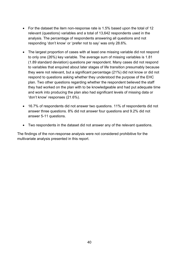- For the dataset the item non-response rate is 1.5% based upon the total of 12 relevant (questions) variables and a total of 13,642 respondents used in the analysis. The percentage of respondents answering all questions and not responding 'don't know' or 'prefer not to say' was only 28.6%.
- The largest proportion of cases with at least one missing variable did not respond to only one (26%) key variable. The average sum of missing variables is 1.81 (1.89 standard deviation) questions per respondent. Many cases did not respond to variables that enquired about later stages of life transition presumably because they were not relevant, but a significant percentage (21%) did not know or did not respond to questions asking whether they understood the purpose of the EHC plan. Two other questions regarding whether the respondent believed the staff they had worked on the plan with to be knowledgeable and had put adequate time and work into producing the plan also had significant levels of missing data or 'don't know' responses (21.6%).
- 16.7% of respondents did not answer two questions. 11% of respondents did not answer three questions. 8% did not answer four questions and 9.2% did not answer 5-11 questions.
- Two respondents in the dataset did not answer any of the relevant questions.

The findings of the non-response analysis were not considered prohibitive for the multivariate analysis presented in this report.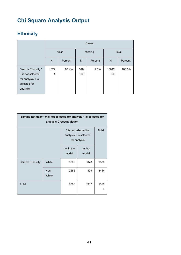# **Chi Square Analysis Output**

|                    |                | Cases   |         |         |              |         |  |  |
|--------------------|----------------|---------|---------|---------|--------------|---------|--|--|
|                    | Valid          |         | Missing |         | <b>Total</b> |         |  |  |
|                    | N              | Percent | N       | Percent | N            | Percent |  |  |
| Sample Ethnicity * | 1329           | 97.4%   | 348.    | 2.6%    | 13642.       | 100.0%  |  |  |
| 0 is not selected  | $\overline{4}$ |         | 069     |         | 069          |         |  |  |
| for analysis 1 is  |                |         |         |         |              |         |  |  |
| selected for       |                |         |         |         |              |         |  |  |
| analysis           |                |         |         |         |              |         |  |  |

# **Ethnicity**

| Sample Ethnicity * 0 is not selected for analysis 1 is selected for<br>analysis Crosstabulation |                     |                                                                 |                 |           |  |  |  |
|-------------------------------------------------------------------------------------------------|---------------------|-----------------------------------------------------------------|-----------------|-----------|--|--|--|
|                                                                                                 |                     | 0 is not selected for<br>analysis 1 is selected<br>for analysis | Total           |           |  |  |  |
|                                                                                                 |                     | not in the<br>model                                             | in the<br>model |           |  |  |  |
| <b>Sample Ethnicity</b>                                                                         | White               | 6802                                                            | 3078            | 9880      |  |  |  |
|                                                                                                 | <b>Non</b><br>White | 2585                                                            | 829             | 3414      |  |  |  |
| Total                                                                                           |                     | 9387                                                            | 3907            | 1329<br>4 |  |  |  |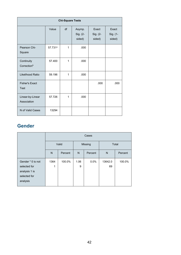| <b>Chi-Square Tests</b>               |                     |    |                              |                             |                             |  |  |
|---------------------------------------|---------------------|----|------------------------------|-----------------------------|-----------------------------|--|--|
|                                       | Value               | df | Asymp.<br>Sig. (2-<br>sided) | Exact<br>Sig. (2-<br>sided) | Exact<br>Sig. (1-<br>sided) |  |  |
| Pearson Chi-<br>Square                | 57.731 <sup>a</sup> | 1  | .000                         |                             |                             |  |  |
| Continuity<br>Correction <sup>b</sup> | 57.400              | 1  | .000                         |                             |                             |  |  |
| Likelihood Ratio                      | 59.196              | 1  | .000                         |                             |                             |  |  |
| <b>Fisher's Exact</b><br><b>Test</b>  |                     |    |                              | .000                        | .000                        |  |  |
| Linear-by-Linear<br>Association       | 57.726              | 1  | .000                         |                             |                             |  |  |
| N of Valid Cases                      | 13294               |    |                              |                             |                             |  |  |

### **Gender**

|                   | Cases |         |         |         |         |         |  |
|-------------------|-------|---------|---------|---------|---------|---------|--|
|                   | Valid |         | Missing |         | Total   |         |  |
|                   | N     | Percent | N       | Percent | N       | Percent |  |
| Gender * 0 is not | 1364  | 100.0%  | 1.06    | $0.0\%$ | 13642.0 | 100.0%  |  |
| selected for      | 1     |         | 9       |         | 69      |         |  |
| analysis 1 is     |       |         |         |         |         |         |  |
| selected for      |       |         |         |         |         |         |  |
| analysis          |       |         |         |         |         |         |  |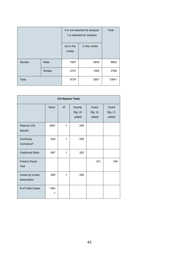|        |        | 0 is not selected for analysis<br>1 is selected for analysis | Total        |       |
|--------|--------|--------------------------------------------------------------|--------------|-------|
|        |        | not in the<br>model                                          | in the model |       |
| Gender | Male   | 7007                                                         | 2845         | 9852  |
|        | female | 2727                                                         | 1062         | 3789  |
| Total  |        | 9734                                                         | 3907         | 13641 |

| <b>Chi-Square Tests</b>               |           |              |                              |                             |                             |  |  |
|---------------------------------------|-----------|--------------|------------------------------|-----------------------------|-----------------------------|--|--|
|                                       | Value     | df           | Asymp.<br>Sig. (2-<br>sided) | Exact<br>Sig. (2-<br>sided) | Exact<br>Sig. (1-<br>sided) |  |  |
| Pearson Chi-<br>Square                | .965a     | 1            | .326                         |                             |                             |  |  |
| Continuity<br>Correction <sup>b</sup> | .924      | $\mathbf{1}$ | .336                         |                             |                             |  |  |
| Likelihood Ratio                      | .967      | $\mathbf{1}$ | .325                         |                             |                             |  |  |
| <b>Fisher's Exact</b><br><b>Test</b>  |           |              |                              | .331                        | .168                        |  |  |
| Linear-by-Linear<br>Association       | .965      | $\mathbf{1}$ | .326                         |                             |                             |  |  |
| N of Valid Cases                      | 1364<br>1 |              |                              |                             |                             |  |  |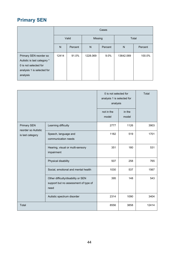### **Primary SEN**

|                                                                                                                          |       | Cases   |          |         |           |         |  |  |
|--------------------------------------------------------------------------------------------------------------------------|-------|---------|----------|---------|-----------|---------|--|--|
|                                                                                                                          | Valid |         | Missing  |         | Total     |         |  |  |
|                                                                                                                          | N     | Percent | N        | Percent | N         | Percent |  |  |
| Primary SEN reorder so<br>Autistic is last category *<br>0 is not selected for<br>analysis 1 is selected for<br>analysis | 12414 | 91.0%   | 1228.069 | 9.0%    | 13642.069 | 100.0%  |  |  |

|                                                               |                                                                                    | 0 is not selected for<br>analysis 1 is selected for<br>analysis |                 | Total |
|---------------------------------------------------------------|------------------------------------------------------------------------------------|-----------------------------------------------------------------|-----------------|-------|
|                                                               |                                                                                    | not in the<br>model                                             | in the<br>model |       |
| <b>Primary SEN</b><br>reorder so Autistic<br>is last category | Learning difficulty                                                                | 2777                                                            | 1126            | 3903  |
|                                                               | Speech, language and<br>communication needs                                        | 1182                                                            | 519             | 1701  |
|                                                               | Hearing, visual or multi-sensory<br>impairment                                     | 351                                                             | 180             | 531   |
|                                                               | Physical disability                                                                | 507                                                             | 258             | 765   |
|                                                               | Social, emotional and mental health                                                | 1030                                                            | 537             | 1567  |
|                                                               | Other difficulty/disability or SEN<br>support but no assessment of type of<br>need | 395                                                             | 148             | 543   |
|                                                               | Autistic spectrum disorder                                                         | 2314                                                            | 1090            | 3404  |
| Total                                                         |                                                                                    | 8556                                                            | 3858            | 12414 |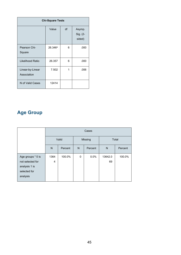| <b>Chi-Square Tests</b>         |         |    |                              |  |
|---------------------------------|---------|----|------------------------------|--|
|                                 | Value   | df | Asymp.<br>Sig. (2-<br>sided) |  |
| Pearson Chi-<br>Square          | 26.346a | 6  | .000                         |  |
| Likelihood Ratio                | 26.357  | 6  | .000                         |  |
| Linear-by-Linear<br>Association | 7.502   | 1  | .006                         |  |
| N of Valid Cases                | 12414   |    |                              |  |

### **Age Group**

|                                                                                    | Cases        |         |         |         |               |         |
|------------------------------------------------------------------------------------|--------------|---------|---------|---------|---------------|---------|
|                                                                                    | Valid        |         | Missing |         | Total         |         |
|                                                                                    | $\mathsf{N}$ | Percent | N       | Percent | N             | Percent |
| Age groups * 0 is<br>not selected for<br>analysis 1 is<br>selected for<br>analysis | 1364<br>4    | 100.0%  | 0       | $0.0\%$ | 13642.0<br>69 | 100.0%  |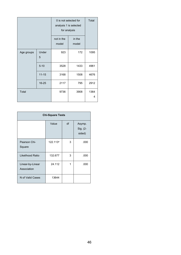|            |            | 0 is not selected for<br>analysis 1 is selected<br>for analysis | Total           |           |
|------------|------------|-----------------------------------------------------------------|-----------------|-----------|
|            |            | not in the<br>model                                             | in the<br>model |           |
| Age groups | Under<br>5 | 923                                                             | 172             | 1095      |
|            | $5 - 10$   | 3528                                                            | 1433            | 4961      |
|            | $11 - 15$  | 3168                                                            | 1508            | 4676      |
|            | $16 - 25$  | 2117                                                            | 795             | 2912      |
| Total      |            | 9736                                                            | 3908            | 1364<br>4 |

| <b>Chi-Square Tests</b>         |          |    |                              |  |
|---------------------------------|----------|----|------------------------------|--|
|                                 | Value    | df | Asymp.<br>Sig. (2-<br>sided) |  |
| Pearson Chi-<br>Square          | 122.113a | 3  | .000                         |  |
| Likelihood Ratio                | 132.677  | 3  | .000                         |  |
| Linear-by-Linear<br>Association | 24.112   | 1  | .000                         |  |
| N of Valid Cases                | 13644    |    |                              |  |